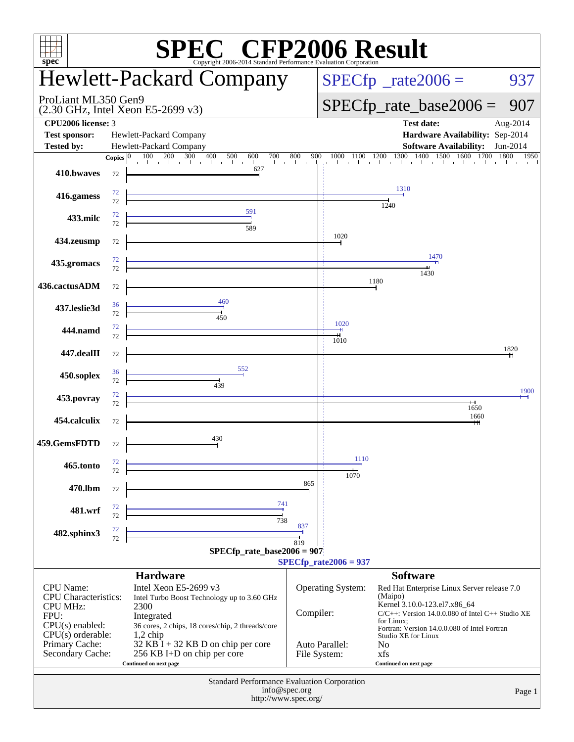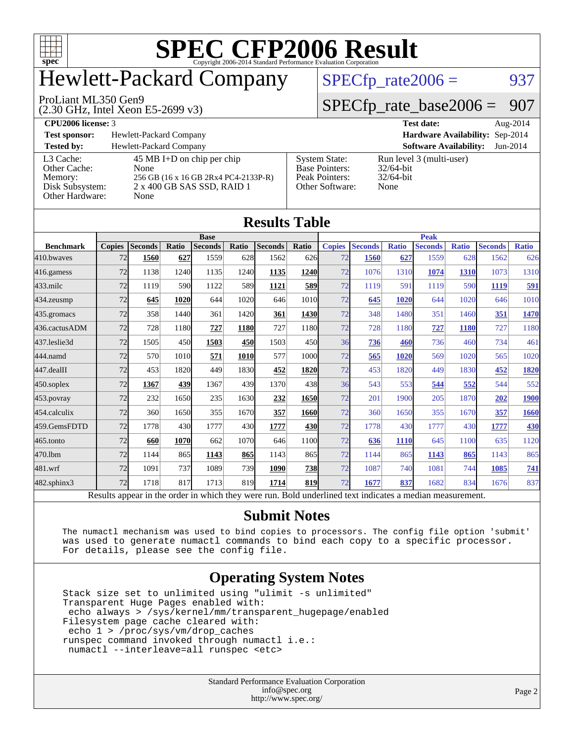

# Hewlett-Packard Company

#### ProLiant ML350 Gen9

(2.30 GHz, Intel Xeon E5-2699 v3)

 $SPECfp_rate2006 = 937$  $SPECfp_rate2006 = 937$ 

### [SPECfp\\_rate\\_base2006 =](http://www.spec.org/auto/cpu2006/Docs/result-fields.html#SPECfpratebase2006) 907

| <b>CPU2006 license: 3</b> |                              |               | <b>Test date:</b>                      | Aug-2014 |
|---------------------------|------------------------------|---------------|----------------------------------------|----------|
| <b>Test sponsor:</b>      | Hewlett-Packard Company      |               | <b>Hardware Availability: Sep-2014</b> |          |
| Tested by:                | Hewlett-Packard Company      |               | <b>Software Availability:</b> Jun-2014 |          |
| $13$ Cache                | $45$ MR I+D on chin per chin | System State: | $Run level 3 (multi-user)$             |          |

[Other Cache:](http://www.spec.org/auto/cpu2006/Docs/result-fields.html#OtherCache) [Other Hardware:](http://www.spec.org/auto/cpu2006/Docs/result-fields.html#OtherHardware) None

45 MB I+D on chip per chip<br>None [Memory:](http://www.spec.org/auto/cpu2006/Docs/result-fields.html#Memory) 256 GB (16 x 16 GB 2Rx4 PC4-2133P-R) [Disk Subsystem:](http://www.spec.org/auto/cpu2006/Docs/result-fields.html#DiskSubsystem) 2 x 400 GB SAS SSD, RAID 1

| <b>System State:</b>  |  |
|-----------------------|--|
| <b>Base Pointers:</b> |  |
| Peak Pointers:        |  |
| Other Software:       |  |
|                       |  |

**[Software Availability:](http://www.spec.org/auto/cpu2006/Docs/result-fields.html#SoftwareAvailability)** Jun-2014 Run level 3 (multi-user) 32/64-bit 32/64-bit None.

| <b>Results Table</b> |                                                                                                          |                |       |                |             |                |            |               |                |              |                |              |                |              |
|----------------------|----------------------------------------------------------------------------------------------------------|----------------|-------|----------------|-------------|----------------|------------|---------------|----------------|--------------|----------------|--------------|----------------|--------------|
|                      | <b>Base</b>                                                                                              |                |       |                | <b>Peak</b> |                |            |               |                |              |                |              |                |              |
| <b>Benchmark</b>     | <b>Copies</b>                                                                                            | <b>Seconds</b> | Ratio | <b>Seconds</b> | Ratio       | <b>Seconds</b> | Ratio      | <b>Copies</b> | <b>Seconds</b> | <b>Ratio</b> | <b>Seconds</b> | <b>Ratio</b> | <b>Seconds</b> | <b>Ratio</b> |
| 410.bwayes           | 72                                                                                                       | 1560           | 627   | 1559           | 628         | 1562           | 626        | 72            | 1560           | 627          | 1559           | 628          | 1562           | 626          |
| $416$ .gamess        | 72                                                                                                       | 1138           | 1240  | 1135           | 1240        | 1135           | 1240       | 72            | 1076           | 1310         | 1074           | 1310         | 1073           | 1310         |
| $433$ .milc          | 72                                                                                                       | 1119           | 590   | 1122           | 589         | 1121           | <b>589</b> | 72            | 1119           | 591          | 1119           | 590          | 1119           | 591          |
| $434$ . zeusmp       | 72                                                                                                       | 645            | 1020  | 644            | 1020        | 646            | 1010       | 72            | 645            | 1020         | 644            | 1020         | 646            | 1010         |
| 435.gromacs          | 72                                                                                                       | 358            | 1440  | 361            | 1420        | 361            | 1430       | 72            | 348            | 1480         | 351            | 1460         | 351            | 1470         |
| 436.cactusADM        | 72                                                                                                       | 728            | 1180  | 727            | 1180        | 727            | 1180       | 72            | 728            | 1180         | 727            | 1180         | 727            | 1180         |
| 437.leslie3d         | 72                                                                                                       | 1505           | 450   | 1503           | 450         | 1503           | 450        | 36            | 736            | 460          | 736            | 460          | 734            | 461          |
| 444.namd             | 72                                                                                                       | 570            | 1010  | 571            | 1010        | 577            | 1000       | 72            | 565            | 1020         | 569            | 1020         | 565            | 1020         |
| $447$ .dealII        | 72                                                                                                       | 453            | 1820  | 449            | 1830        | 452            | 1820       | 72            | 453            | 1820         | 449            | 1830         | 452            | 1820         |
| $450$ .soplex        | 72                                                                                                       | 1367           | 439   | 1367           | 439         | 1370           | 438        | 36            | 543            | 553          | 544            | 552          | 544            | 552          |
| 453.povray           | 72                                                                                                       | 232            | 1650  | 235            | 1630        | 232            | 1650       | 72            | 201            | 1900         | 205            | 1870         | 202            | <b>1900</b>  |
| 454.calculix         | 72                                                                                                       | 360            | 1650  | 355            | 1670        | 357            | 1660       | 72            | 360            | 1650         | 355            | 1670         | 357            | 1660         |
| 459.GemsFDTD         | 72                                                                                                       | 1778           | 430   | 1777           | 430l        | 1777           | <b>430</b> | 72            | 1778           | 430          | 1777           | 430          | 1777           | <b>430</b>   |
| $465$ .tonto         | 72                                                                                                       | 660            | 1070  | 662            | 1070        | 646            | 1100       | 72            | 636            | 1110         | 645            | 1100         | 635            | 1120         |
| 470.1bm              | 72                                                                                                       | 1144           | 865   | 1143           | 865         | 1143           | 865        | 72            | 1144           | 865          | 1143           | 865          | 1143           | 865          |
| 481.wrf              | 72                                                                                                       | 1091           | 737   | 1089           | 739         | 1090           | 738        | 72            | 1087           | 740          | 1081           | 744          | 1085           | 741          |
| 482.sphinx3          | 72                                                                                                       | 1718           | 817   | 1713           | 819         | 1714           | 819        | 72            | 1677           | 837          | 1682           | 834          | 1676           | 837          |
|                      | Results appear in the order in which they were run. Bold underlined text indicates a median measurement. |                |       |                |             |                |            |               |                |              |                |              |                |              |

### **[Submit Notes](http://www.spec.org/auto/cpu2006/Docs/result-fields.html#SubmitNotes)**

 The numactl mechanism was used to bind copies to processors. The config file option 'submit' was used to generate numactl commands to bind each copy to a specific processor. For details, please see the config file.

### **[Operating System Notes](http://www.spec.org/auto/cpu2006/Docs/result-fields.html#OperatingSystemNotes)**

 Stack size set to unlimited using "ulimit -s unlimited" Transparent Huge Pages enabled with: echo always > /sys/kernel/mm/transparent\_hugepage/enabled Filesystem page cache cleared with: echo 1 > /proc/sys/vm/drop\_caches runspec command invoked through numactl i.e.: numactl --interleave=all runspec <etc>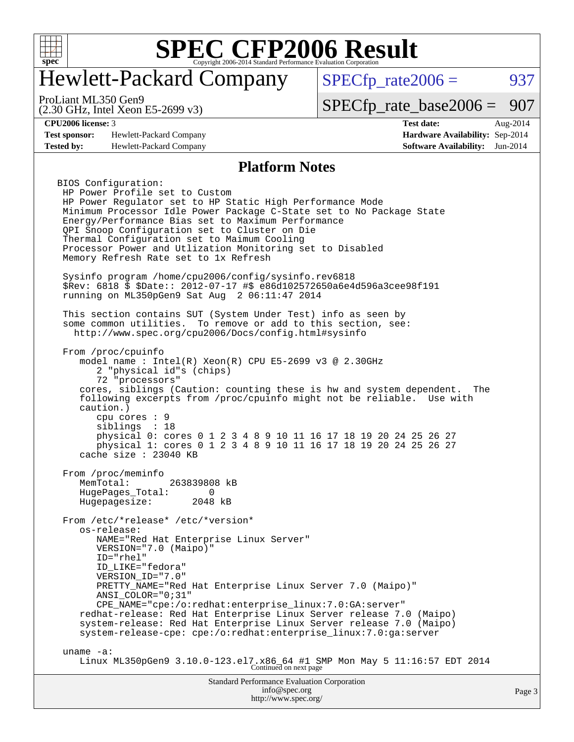

# Hewlett-Packard Company

 $SPECTp_rate2006 = 937$ 

(2.30 GHz, Intel Xeon E5-2699 v3) ProLiant ML350 Gen9

[SPECfp\\_rate\\_base2006 =](http://www.spec.org/auto/cpu2006/Docs/result-fields.html#SPECfpratebase2006) 907

**[Test sponsor:](http://www.spec.org/auto/cpu2006/Docs/result-fields.html#Testsponsor)** Hewlett-Packard Company **[Hardware Availability:](http://www.spec.org/auto/cpu2006/Docs/result-fields.html#HardwareAvailability)** Sep-2014 **[Tested by:](http://www.spec.org/auto/cpu2006/Docs/result-fields.html#Testedby)** Hewlett-Packard Company **[Software Availability:](http://www.spec.org/auto/cpu2006/Docs/result-fields.html#SoftwareAvailability)** Jun-2014

**[CPU2006 license:](http://www.spec.org/auto/cpu2006/Docs/result-fields.html#CPU2006license)** 3 **[Test date:](http://www.spec.org/auto/cpu2006/Docs/result-fields.html#Testdate)** Aug-2014

#### **[Platform Notes](http://www.spec.org/auto/cpu2006/Docs/result-fields.html#PlatformNotes)**

BIOS Configuration: HP Power Profile set to Custom HP Power Regulator set to HP Static High Performance Mode Minimum Processor Idle Power Package C-State set to No Package State Energy/Performance Bias set to Maximum Performance QPI Snoop Configuration set to Cluster on Die Thermal Configuration set to Maimum Cooling Processor Power and Utlization Monitoring set to Disabled Memory Refresh Rate set to 1x Refresh Sysinfo program /home/cpu2006/config/sysinfo.rev6818 \$Rev: 6818 \$ \$Date:: 2012-07-17 #\$ e86d102572650a6e4d596a3cee98f191 running on ML350pGen9 Sat Aug 2 06:11:47 2014 This section contains SUT (System Under Test) info as seen by some common utilities. To remove or add to this section, see: <http://www.spec.org/cpu2006/Docs/config.html#sysinfo> From /proc/cpuinfo model name : Intel(R) Xeon(R) CPU E5-2699 v3 @ 2.30GHz 2 "physical id"s (chips) 72 "processors" cores, siblings (Caution: counting these is hw and system dependent. The following excerpts from /proc/cpuinfo might not be reliable. Use with caution.) cpu cores : 9 siblings : 18 physical 0: cores 0 1 2 3 4 8 9 10 11 16 17 18 19 20 24 25 26 27 physical 1: cores 0 1 2 3 4 8 9 10 11 16 17 18 19 20 24 25 26 27 cache size : 23040 KB From /proc/meminfo MemTotal: 263839808 kB HugePages\_Total: 0<br>Hugepagesize: 2048 kB Hugepagesize: From /etc/\*release\* /etc/\*version\* os-release: NAME="Red Hat Enterprise Linux Server" VERSION="7.0 (Maipo)" ID="rhel" ID\_LIKE="fedora" VERSION ID="7.0" PRETTY NAME="Red Hat Enterprise Linux Server 7.0 (Maipo)" ANSI\_COLOR="0;31" CPE\_NAME="cpe:/o:redhat:enterprise\_linux:7.0:GA:server" redhat-release: Red Hat Enterprise Linux Server release 7.0 (Maipo) system-release: Red Hat Enterprise Linux Server release 7.0 (Maipo) system-release-cpe: cpe:/o:redhat:enterprise\_linux:7.0:ga:server uname -a: Linux ML350pGen9 3.10.0-123.el7.x86\_64 #1 SMP Mon May 5 11:16:57 EDT 2014 Continued on next page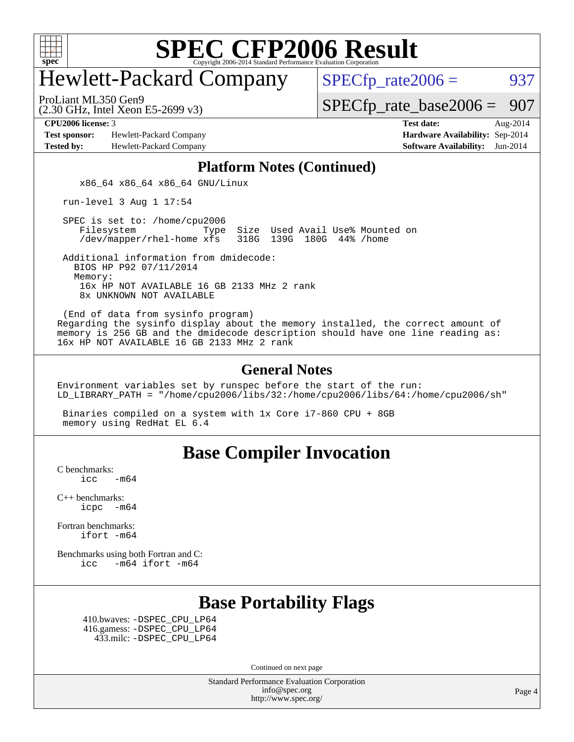

# Hewlett-Packard Company

 $SPECfp_rate2006 = 937$  $SPECfp_rate2006 = 937$ 

(2.30 GHz, Intel Xeon E5-2699 v3) ProLiant ML350 Gen9

[SPECfp\\_rate\\_base2006 =](http://www.spec.org/auto/cpu2006/Docs/result-fields.html#SPECfpratebase2006) 907

**[Test sponsor:](http://www.spec.org/auto/cpu2006/Docs/result-fields.html#Testsponsor)** Hewlett-Packard Company **[Hardware Availability:](http://www.spec.org/auto/cpu2006/Docs/result-fields.html#HardwareAvailability)** Sep-2014 **[Tested by:](http://www.spec.org/auto/cpu2006/Docs/result-fields.html#Testedby)** Hewlett-Packard Company **[Software Availability:](http://www.spec.org/auto/cpu2006/Docs/result-fields.html#SoftwareAvailability)** Jun-2014

**[CPU2006 license:](http://www.spec.org/auto/cpu2006/Docs/result-fields.html#CPU2006license)** 3 **[Test date:](http://www.spec.org/auto/cpu2006/Docs/result-fields.html#Testdate)** Aug-2014

### **[Platform Notes \(Continued\)](http://www.spec.org/auto/cpu2006/Docs/result-fields.html#PlatformNotes)**

x86 64 x86 64 x86 64 GNU/Linux

run-level 3 Aug 1 17:54

SPEC is set to: /home/cpu2006<br>Filesystem Type Type Size Used Avail Use% Mounted on /dev/mapper/rhel-home xfs 318G 139G 180G 44% /home

 Additional information from dmidecode: BIOS HP P92 07/11/2014 Memory: 16x HP NOT AVAILABLE 16 GB 2133 MHz 2 rank 8x UNKNOWN NOT AVAILABLE

 (End of data from sysinfo program) Regarding the sysinfo display about the memory installed, the correct amount of memory is 256 GB and the dmidecode description should have one line reading as: 16x HP NOT AVAILABLE 16 GB 2133 MHz 2 rank

#### **[General Notes](http://www.spec.org/auto/cpu2006/Docs/result-fields.html#GeneralNotes)**

Environment variables set by runspec before the start of the run: LD\_LIBRARY\_PATH = "/home/cpu2006/libs/32:/home/cpu2006/libs/64:/home/cpu2006/sh"

 Binaries compiled on a system with 1x Core i7-860 CPU + 8GB memory using RedHat EL 6.4

### **[Base Compiler Invocation](http://www.spec.org/auto/cpu2006/Docs/result-fields.html#BaseCompilerInvocation)**

[C benchmarks](http://www.spec.org/auto/cpu2006/Docs/result-fields.html#Cbenchmarks):  $\text{icc}$  -m64

[C++ benchmarks:](http://www.spec.org/auto/cpu2006/Docs/result-fields.html#CXXbenchmarks) [icpc -m64](http://www.spec.org/cpu2006/results/res2014q3/cpu2006-20140908-31277.flags.html#user_CXXbase_intel_icpc_64bit_bedb90c1146cab66620883ef4f41a67e)

[Fortran benchmarks](http://www.spec.org/auto/cpu2006/Docs/result-fields.html#Fortranbenchmarks): [ifort -m64](http://www.spec.org/cpu2006/results/res2014q3/cpu2006-20140908-31277.flags.html#user_FCbase_intel_ifort_64bit_ee9d0fb25645d0210d97eb0527dcc06e)

[Benchmarks using both Fortran and C](http://www.spec.org/auto/cpu2006/Docs/result-fields.html#BenchmarksusingbothFortranandC): [icc -m64](http://www.spec.org/cpu2006/results/res2014q3/cpu2006-20140908-31277.flags.html#user_CC_FCbase_intel_icc_64bit_0b7121f5ab7cfabee23d88897260401c) [ifort -m64](http://www.spec.org/cpu2006/results/res2014q3/cpu2006-20140908-31277.flags.html#user_CC_FCbase_intel_ifort_64bit_ee9d0fb25645d0210d97eb0527dcc06e)

## **[Base Portability Flags](http://www.spec.org/auto/cpu2006/Docs/result-fields.html#BasePortabilityFlags)**

 410.bwaves: [-DSPEC\\_CPU\\_LP64](http://www.spec.org/cpu2006/results/res2014q3/cpu2006-20140908-31277.flags.html#suite_basePORTABILITY410_bwaves_DSPEC_CPU_LP64) 416.gamess: [-DSPEC\\_CPU\\_LP64](http://www.spec.org/cpu2006/results/res2014q3/cpu2006-20140908-31277.flags.html#suite_basePORTABILITY416_gamess_DSPEC_CPU_LP64) 433.milc: [-DSPEC\\_CPU\\_LP64](http://www.spec.org/cpu2006/results/res2014q3/cpu2006-20140908-31277.flags.html#suite_basePORTABILITY433_milc_DSPEC_CPU_LP64)

Continued on next page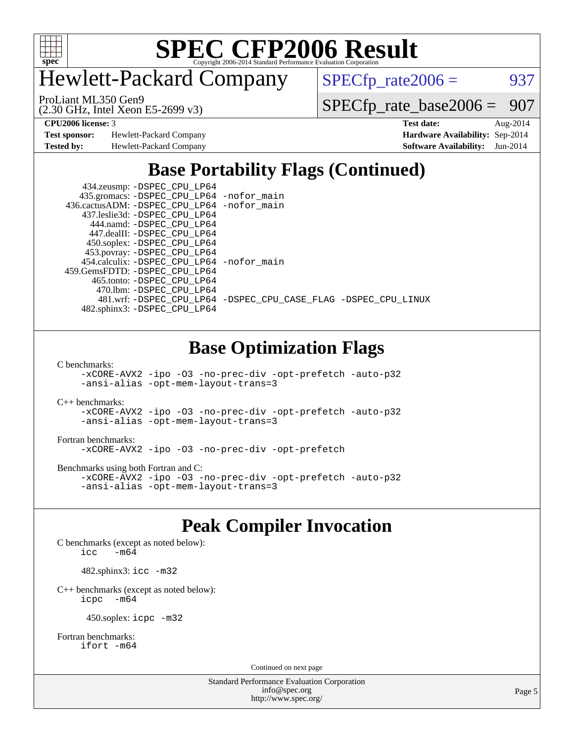

Hewlett-Packard Company

 $SPECfp_rate2006 = 937$  $SPECfp_rate2006 = 937$ 

(2.30 GHz, Intel Xeon E5-2699 v3) ProLiant ML350 Gen9

[SPECfp\\_rate\\_base2006 =](http://www.spec.org/auto/cpu2006/Docs/result-fields.html#SPECfpratebase2006) 907

**[Test sponsor:](http://www.spec.org/auto/cpu2006/Docs/result-fields.html#Testsponsor)** Hewlett-Packard Company **[Hardware Availability:](http://www.spec.org/auto/cpu2006/Docs/result-fields.html#HardwareAvailability)** Sep-2014

**[CPU2006 license:](http://www.spec.org/auto/cpu2006/Docs/result-fields.html#CPU2006license)** 3 **[Test date:](http://www.spec.org/auto/cpu2006/Docs/result-fields.html#Testdate)** Aug-2014 **[Tested by:](http://www.spec.org/auto/cpu2006/Docs/result-fields.html#Testedby)** Hewlett-Packard Company **[Software Availability:](http://www.spec.org/auto/cpu2006/Docs/result-fields.html#SoftwareAvailability)** Jun-2014

## **[Base Portability Flags \(Continued\)](http://www.spec.org/auto/cpu2006/Docs/result-fields.html#BasePortabilityFlags)**

| 434.zeusmp: -DSPEC_CPU_LP64                 |                                                                |
|---------------------------------------------|----------------------------------------------------------------|
| 435.gromacs: -DSPEC_CPU_LP64 -nofor_main    |                                                                |
| 436.cactusADM: -DSPEC CPU LP64 -nofor main  |                                                                |
| 437.leslie3d: -DSPEC CPU LP64               |                                                                |
| 444.namd: -DSPEC CPU LP64                   |                                                                |
| 447.dealII: -DSPEC CPU LP64                 |                                                                |
| 450.soplex: -DSPEC_CPU_LP64                 |                                                                |
| 453.povray: -DSPEC_CPU_LP64                 |                                                                |
| 454.calculix: - DSPEC CPU LP64 - nofor main |                                                                |
| 459. GemsFDTD: - DSPEC CPU LP64             |                                                                |
| 465.tonto: -DSPEC CPU LP64                  |                                                                |
| 470.1bm: - DSPEC CPU LP64                   |                                                                |
|                                             | 481.wrf: -DSPEC CPU_LP64 -DSPEC_CPU_CASE_FLAG -DSPEC_CPU_LINUX |
| 482.sphinx3: -DSPEC_CPU_LP64                |                                                                |

## **[Base Optimization Flags](http://www.spec.org/auto/cpu2006/Docs/result-fields.html#BaseOptimizationFlags)**

[C benchmarks](http://www.spec.org/auto/cpu2006/Docs/result-fields.html#Cbenchmarks):

[-xCORE-AVX2](http://www.spec.org/cpu2006/results/res2014q3/cpu2006-20140908-31277.flags.html#user_CCbase_f-xAVX2_5f5fc0cbe2c9f62c816d3e45806c70d7) [-ipo](http://www.spec.org/cpu2006/results/res2014q3/cpu2006-20140908-31277.flags.html#user_CCbase_f-ipo) [-O3](http://www.spec.org/cpu2006/results/res2014q3/cpu2006-20140908-31277.flags.html#user_CCbase_f-O3) [-no-prec-div](http://www.spec.org/cpu2006/results/res2014q3/cpu2006-20140908-31277.flags.html#user_CCbase_f-no-prec-div) [-opt-prefetch](http://www.spec.org/cpu2006/results/res2014q3/cpu2006-20140908-31277.flags.html#user_CCbase_f-opt-prefetch) [-auto-p32](http://www.spec.org/cpu2006/results/res2014q3/cpu2006-20140908-31277.flags.html#user_CCbase_f-auto-p32) [-ansi-alias](http://www.spec.org/cpu2006/results/res2014q3/cpu2006-20140908-31277.flags.html#user_CCbase_f-ansi-alias) [-opt-mem-layout-trans=3](http://www.spec.org/cpu2006/results/res2014q3/cpu2006-20140908-31277.flags.html#user_CCbase_f-opt-mem-layout-trans_a7b82ad4bd7abf52556d4961a2ae94d5)

[C++ benchmarks:](http://www.spec.org/auto/cpu2006/Docs/result-fields.html#CXXbenchmarks) [-xCORE-AVX2](http://www.spec.org/cpu2006/results/res2014q3/cpu2006-20140908-31277.flags.html#user_CXXbase_f-xAVX2_5f5fc0cbe2c9f62c816d3e45806c70d7) [-ipo](http://www.spec.org/cpu2006/results/res2014q3/cpu2006-20140908-31277.flags.html#user_CXXbase_f-ipo) [-O3](http://www.spec.org/cpu2006/results/res2014q3/cpu2006-20140908-31277.flags.html#user_CXXbase_f-O3) [-no-prec-div](http://www.spec.org/cpu2006/results/res2014q3/cpu2006-20140908-31277.flags.html#user_CXXbase_f-no-prec-div) [-opt-prefetch](http://www.spec.org/cpu2006/results/res2014q3/cpu2006-20140908-31277.flags.html#user_CXXbase_f-opt-prefetch) [-auto-p32](http://www.spec.org/cpu2006/results/res2014q3/cpu2006-20140908-31277.flags.html#user_CXXbase_f-auto-p32) [-ansi-alias](http://www.spec.org/cpu2006/results/res2014q3/cpu2006-20140908-31277.flags.html#user_CXXbase_f-ansi-alias) [-opt-mem-layout-trans=3](http://www.spec.org/cpu2006/results/res2014q3/cpu2006-20140908-31277.flags.html#user_CXXbase_f-opt-mem-layout-trans_a7b82ad4bd7abf52556d4961a2ae94d5)

#### [Fortran benchmarks](http://www.spec.org/auto/cpu2006/Docs/result-fields.html#Fortranbenchmarks):

[-xCORE-AVX2](http://www.spec.org/cpu2006/results/res2014q3/cpu2006-20140908-31277.flags.html#user_FCbase_f-xAVX2_5f5fc0cbe2c9f62c816d3e45806c70d7) [-ipo](http://www.spec.org/cpu2006/results/res2014q3/cpu2006-20140908-31277.flags.html#user_FCbase_f-ipo) [-O3](http://www.spec.org/cpu2006/results/res2014q3/cpu2006-20140908-31277.flags.html#user_FCbase_f-O3) [-no-prec-div](http://www.spec.org/cpu2006/results/res2014q3/cpu2006-20140908-31277.flags.html#user_FCbase_f-no-prec-div) [-opt-prefetch](http://www.spec.org/cpu2006/results/res2014q3/cpu2006-20140908-31277.flags.html#user_FCbase_f-opt-prefetch)

[Benchmarks using both Fortran and C](http://www.spec.org/auto/cpu2006/Docs/result-fields.html#BenchmarksusingbothFortranandC):

[-xCORE-AVX2](http://www.spec.org/cpu2006/results/res2014q3/cpu2006-20140908-31277.flags.html#user_CC_FCbase_f-xAVX2_5f5fc0cbe2c9f62c816d3e45806c70d7) [-ipo](http://www.spec.org/cpu2006/results/res2014q3/cpu2006-20140908-31277.flags.html#user_CC_FCbase_f-ipo) [-O3](http://www.spec.org/cpu2006/results/res2014q3/cpu2006-20140908-31277.flags.html#user_CC_FCbase_f-O3) [-no-prec-div](http://www.spec.org/cpu2006/results/res2014q3/cpu2006-20140908-31277.flags.html#user_CC_FCbase_f-no-prec-div) [-opt-prefetch](http://www.spec.org/cpu2006/results/res2014q3/cpu2006-20140908-31277.flags.html#user_CC_FCbase_f-opt-prefetch) [-auto-p32](http://www.spec.org/cpu2006/results/res2014q3/cpu2006-20140908-31277.flags.html#user_CC_FCbase_f-auto-p32) [-ansi-alias](http://www.spec.org/cpu2006/results/res2014q3/cpu2006-20140908-31277.flags.html#user_CC_FCbase_f-ansi-alias) [-opt-mem-layout-trans=3](http://www.spec.org/cpu2006/results/res2014q3/cpu2006-20140908-31277.flags.html#user_CC_FCbase_f-opt-mem-layout-trans_a7b82ad4bd7abf52556d4961a2ae94d5)

## **[Peak Compiler Invocation](http://www.spec.org/auto/cpu2006/Docs/result-fields.html#PeakCompilerInvocation)**

[C benchmarks \(except as noted below\)](http://www.spec.org/auto/cpu2006/Docs/result-fields.html#Cbenchmarksexceptasnotedbelow): icc  $-m64$ 

482.sphinx3: [icc -m32](http://www.spec.org/cpu2006/results/res2014q3/cpu2006-20140908-31277.flags.html#user_peakCCLD482_sphinx3_intel_icc_a6a621f8d50482236b970c6ac5f55f93)

[C++ benchmarks \(except as noted below\):](http://www.spec.org/auto/cpu2006/Docs/result-fields.html#CXXbenchmarksexceptasnotedbelow) [icpc -m64](http://www.spec.org/cpu2006/results/res2014q3/cpu2006-20140908-31277.flags.html#user_CXXpeak_intel_icpc_64bit_bedb90c1146cab66620883ef4f41a67e)

450.soplex: [icpc -m32](http://www.spec.org/cpu2006/results/res2014q3/cpu2006-20140908-31277.flags.html#user_peakCXXLD450_soplex_intel_icpc_4e5a5ef1a53fd332b3c49e69c3330699)

[Fortran benchmarks](http://www.spec.org/auto/cpu2006/Docs/result-fields.html#Fortranbenchmarks): [ifort -m64](http://www.spec.org/cpu2006/results/res2014q3/cpu2006-20140908-31277.flags.html#user_FCpeak_intel_ifort_64bit_ee9d0fb25645d0210d97eb0527dcc06e)

Continued on next page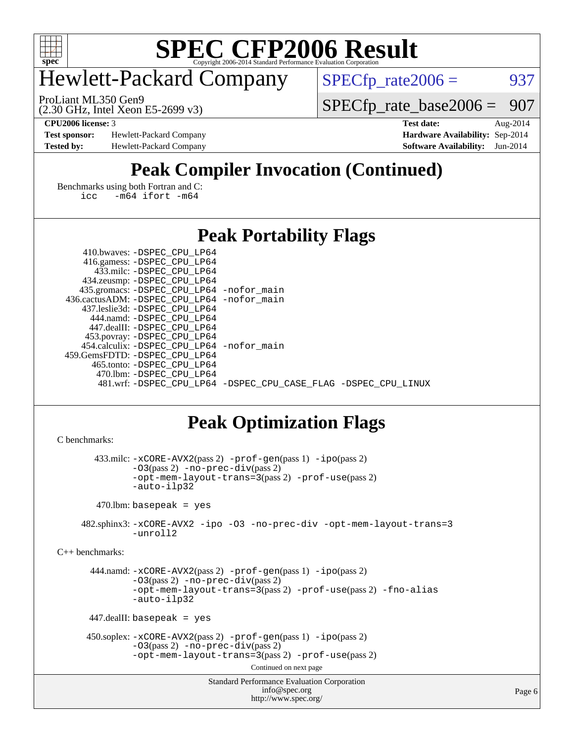

# Hewlett-Packard Company

ProLiant ML350 Gen9

 $SPECTp_rate2006 = 937$ 

(2.30 GHz, Intel Xeon E5-2699 v3)

[SPECfp\\_rate\\_base2006 =](http://www.spec.org/auto/cpu2006/Docs/result-fields.html#SPECfpratebase2006) 907

**[Test sponsor:](http://www.spec.org/auto/cpu2006/Docs/result-fields.html#Testsponsor)** Hewlett-Packard Company **[Hardware Availability:](http://www.spec.org/auto/cpu2006/Docs/result-fields.html#HardwareAvailability)** Sep-2014 **[Tested by:](http://www.spec.org/auto/cpu2006/Docs/result-fields.html#Testedby)** Hewlett-Packard Company **[Software Availability:](http://www.spec.org/auto/cpu2006/Docs/result-fields.html#SoftwareAvailability)** Jun-2014

**[CPU2006 license:](http://www.spec.org/auto/cpu2006/Docs/result-fields.html#CPU2006license)** 3 **[Test date:](http://www.spec.org/auto/cpu2006/Docs/result-fields.html#Testdate)** Aug-2014

# **[Peak Compiler Invocation \(Continued\)](http://www.spec.org/auto/cpu2006/Docs/result-fields.html#PeakCompilerInvocation)**

[Benchmarks using both Fortran and C](http://www.spec.org/auto/cpu2006/Docs/result-fields.html#BenchmarksusingbothFortranandC): [icc -m64](http://www.spec.org/cpu2006/results/res2014q3/cpu2006-20140908-31277.flags.html#user_CC_FCpeak_intel_icc_64bit_0b7121f5ab7cfabee23d88897260401c) [ifort -m64](http://www.spec.org/cpu2006/results/res2014q3/cpu2006-20140908-31277.flags.html#user_CC_FCpeak_intel_ifort_64bit_ee9d0fb25645d0210d97eb0527dcc06e)

### **[Peak Portability Flags](http://www.spec.org/auto/cpu2006/Docs/result-fields.html#PeakPortabilityFlags)**

| 410.bwaves: -DSPEC CPU LP64                |                                                                |
|--------------------------------------------|----------------------------------------------------------------|
| 416.gamess: -DSPEC_CPU_LP64                |                                                                |
| 433.milc: -DSPEC CPU LP64                  |                                                                |
| 434.zeusmp: -DSPEC_CPU_LP64                |                                                                |
| 435.gromacs: -DSPEC_CPU_LP64 -nofor_main   |                                                                |
| 436.cactusADM: -DSPEC_CPU_LP64 -nofor_main |                                                                |
| 437.leslie3d: -DSPEC CPU LP64              |                                                                |
| 444.namd: -DSPEC CPU LP64                  |                                                                |
| 447.dealII: -DSPEC CPU LP64                |                                                                |
| 453.povray: -DSPEC_CPU_LP64                |                                                                |
| 454.calculix: -DSPEC CPU LP64 -nofor main  |                                                                |
| 459.GemsFDTD: -DSPEC CPU LP64              |                                                                |
| 465.tonto: -DSPEC CPU LP64                 |                                                                |
| 470.1bm: - DSPEC CPU LP64                  |                                                                |
|                                            | 481.wrf: -DSPEC_CPU_LP64 -DSPEC_CPU_CASE_FLAG -DSPEC_CPU_LINUX |

## **[Peak Optimization Flags](http://www.spec.org/auto/cpu2006/Docs/result-fields.html#PeakOptimizationFlags)**

```
C benchmarks:
```
 433.milc: [-xCORE-AVX2](http://www.spec.org/cpu2006/results/res2014q3/cpu2006-20140908-31277.flags.html#user_peakPASS2_CFLAGSPASS2_LDFLAGS433_milc_f-xAVX2_5f5fc0cbe2c9f62c816d3e45806c70d7)(pass 2) [-prof-gen](http://www.spec.org/cpu2006/results/res2014q3/cpu2006-20140908-31277.flags.html#user_peakPASS1_CFLAGSPASS1_LDFLAGS433_milc_prof_gen_e43856698f6ca7b7e442dfd80e94a8fc)(pass 1) [-ipo](http://www.spec.org/cpu2006/results/res2014q3/cpu2006-20140908-31277.flags.html#user_peakPASS2_CFLAGSPASS2_LDFLAGS433_milc_f-ipo)(pass 2) [-O3](http://www.spec.org/cpu2006/results/res2014q3/cpu2006-20140908-31277.flags.html#user_peakPASS2_CFLAGSPASS2_LDFLAGS433_milc_f-O3)(pass 2) [-no-prec-div](http://www.spec.org/cpu2006/results/res2014q3/cpu2006-20140908-31277.flags.html#user_peakPASS2_CFLAGSPASS2_LDFLAGS433_milc_f-no-prec-div)(pass 2) [-opt-mem-layout-trans=3](http://www.spec.org/cpu2006/results/res2014q3/cpu2006-20140908-31277.flags.html#user_peakPASS2_CFLAGS433_milc_f-opt-mem-layout-trans_a7b82ad4bd7abf52556d4961a2ae94d5)(pass 2) [-prof-use](http://www.spec.org/cpu2006/results/res2014q3/cpu2006-20140908-31277.flags.html#user_peakPASS2_CFLAGSPASS2_LDFLAGS433_milc_prof_use_bccf7792157ff70d64e32fe3e1250b55)(pass 2) [-auto-ilp32](http://www.spec.org/cpu2006/results/res2014q3/cpu2006-20140908-31277.flags.html#user_peakCOPTIMIZE433_milc_f-auto-ilp32) 470.lbm: basepeak = yes

 482.sphinx3: [-xCORE-AVX2](http://www.spec.org/cpu2006/results/res2014q3/cpu2006-20140908-31277.flags.html#user_peakOPTIMIZE482_sphinx3_f-xAVX2_5f5fc0cbe2c9f62c816d3e45806c70d7) [-ipo](http://www.spec.org/cpu2006/results/res2014q3/cpu2006-20140908-31277.flags.html#user_peakOPTIMIZE482_sphinx3_f-ipo) [-O3](http://www.spec.org/cpu2006/results/res2014q3/cpu2006-20140908-31277.flags.html#user_peakOPTIMIZE482_sphinx3_f-O3) [-no-prec-div](http://www.spec.org/cpu2006/results/res2014q3/cpu2006-20140908-31277.flags.html#user_peakOPTIMIZE482_sphinx3_f-no-prec-div) [-opt-mem-layout-trans=3](http://www.spec.org/cpu2006/results/res2014q3/cpu2006-20140908-31277.flags.html#user_peakOPTIMIZE482_sphinx3_f-opt-mem-layout-trans_a7b82ad4bd7abf52556d4961a2ae94d5) [-unroll2](http://www.spec.org/cpu2006/results/res2014q3/cpu2006-20140908-31277.flags.html#user_peakCOPTIMIZE482_sphinx3_f-unroll_784dae83bebfb236979b41d2422d7ec2)

[C++ benchmarks:](http://www.spec.org/auto/cpu2006/Docs/result-fields.html#CXXbenchmarks)

```
 444.namd: -xCORE-AVX2(pass 2) -prof-gen(pass 1) -ipo(pass 2)
-O3(pass 2) -no-prec-div(pass 2)
-opt-mem-layout-trans=3(pass 2) -prof-use(pass 2) -fno-alias
-auto-ilp32
```
447.dealII: basepeak = yes

```
 450.soplex: -xCORE-AVX2(pass 2) -prof-gen(pass 1) -ipo(pass 2)
  -O3(pass 2) -no-prec-div(pass 2)
  -opt-mem-layout-trans=3(pass 2) -prof-use(pass 2)
```
Continued on next page

```
Standard Performance Evaluation Corporation
      info@spec.org
   http://www.spec.org/
```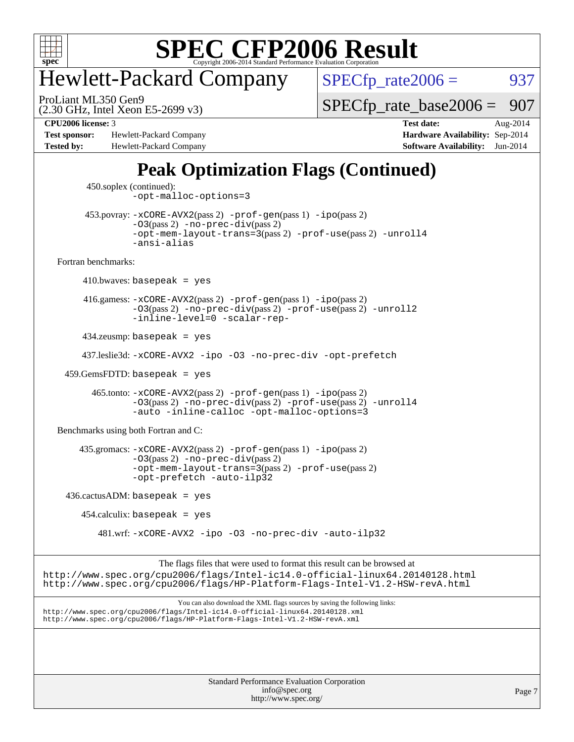

# Hewlett-Packard Company

(2.30 GHz, Intel Xeon E5-2699 v3) ProLiant ML350 Gen9

 $SPECTp_rate2006 = 937$ 

[SPECfp\\_rate\\_base2006 =](http://www.spec.org/auto/cpu2006/Docs/result-fields.html#SPECfpratebase2006)  $907$ 

**[Test sponsor:](http://www.spec.org/auto/cpu2006/Docs/result-fields.html#Testsponsor)** Hewlett-Packard Company **[Hardware Availability:](http://www.spec.org/auto/cpu2006/Docs/result-fields.html#HardwareAvailability)** Sep-2014 **[Tested by:](http://www.spec.org/auto/cpu2006/Docs/result-fields.html#Testedby)** Hewlett-Packard Company **[Software Availability:](http://www.spec.org/auto/cpu2006/Docs/result-fields.html#SoftwareAvailability)** Jun-2014

**[CPU2006 license:](http://www.spec.org/auto/cpu2006/Docs/result-fields.html#CPU2006license)** 3 **[Test date:](http://www.spec.org/auto/cpu2006/Docs/result-fields.html#Testdate)** Aug-2014

# **[Peak Optimization Flags \(Continued\)](http://www.spec.org/auto/cpu2006/Docs/result-fields.html#PeakOptimizationFlags)**

Standard Performance Evaluation Corporation [info@spec.org](mailto:info@spec.org) Page 7 450.soplex (continued): [-opt-malloc-options=3](http://www.spec.org/cpu2006/results/res2014q3/cpu2006-20140908-31277.flags.html#user_peakOPTIMIZE450_soplex_f-opt-malloc-options_13ab9b803cf986b4ee62f0a5998c2238) 453.povray: [-xCORE-AVX2](http://www.spec.org/cpu2006/results/res2014q3/cpu2006-20140908-31277.flags.html#user_peakPASS2_CXXFLAGSPASS2_LDFLAGS453_povray_f-xAVX2_5f5fc0cbe2c9f62c816d3e45806c70d7)(pass 2) [-prof-gen](http://www.spec.org/cpu2006/results/res2014q3/cpu2006-20140908-31277.flags.html#user_peakPASS1_CXXFLAGSPASS1_LDFLAGS453_povray_prof_gen_e43856698f6ca7b7e442dfd80e94a8fc)(pass 1) [-ipo](http://www.spec.org/cpu2006/results/res2014q3/cpu2006-20140908-31277.flags.html#user_peakPASS2_CXXFLAGSPASS2_LDFLAGS453_povray_f-ipo)(pass 2) [-O3](http://www.spec.org/cpu2006/results/res2014q3/cpu2006-20140908-31277.flags.html#user_peakPASS2_CXXFLAGSPASS2_LDFLAGS453_povray_f-O3)(pass 2) [-no-prec-div](http://www.spec.org/cpu2006/results/res2014q3/cpu2006-20140908-31277.flags.html#user_peakPASS2_CXXFLAGSPASS2_LDFLAGS453_povray_f-no-prec-div)(pass 2) [-opt-mem-layout-trans=3](http://www.spec.org/cpu2006/results/res2014q3/cpu2006-20140908-31277.flags.html#user_peakPASS2_CXXFLAGS453_povray_f-opt-mem-layout-trans_a7b82ad4bd7abf52556d4961a2ae94d5)(pass 2) [-prof-use](http://www.spec.org/cpu2006/results/res2014q3/cpu2006-20140908-31277.flags.html#user_peakPASS2_CXXFLAGSPASS2_LDFLAGS453_povray_prof_use_bccf7792157ff70d64e32fe3e1250b55)(pass 2) [-unroll4](http://www.spec.org/cpu2006/results/res2014q3/cpu2006-20140908-31277.flags.html#user_peakCXXOPTIMIZE453_povray_f-unroll_4e5e4ed65b7fd20bdcd365bec371b81f) [-ansi-alias](http://www.spec.org/cpu2006/results/res2014q3/cpu2006-20140908-31277.flags.html#user_peakCXXOPTIMIZE453_povray_f-ansi-alias) [Fortran benchmarks](http://www.spec.org/auto/cpu2006/Docs/result-fields.html#Fortranbenchmarks):  $410.bwaves: basepeak = yes$  416.gamess: [-xCORE-AVX2](http://www.spec.org/cpu2006/results/res2014q3/cpu2006-20140908-31277.flags.html#user_peakPASS2_FFLAGSPASS2_LDFLAGS416_gamess_f-xAVX2_5f5fc0cbe2c9f62c816d3e45806c70d7)(pass 2) [-prof-gen](http://www.spec.org/cpu2006/results/res2014q3/cpu2006-20140908-31277.flags.html#user_peakPASS1_FFLAGSPASS1_LDFLAGS416_gamess_prof_gen_e43856698f6ca7b7e442dfd80e94a8fc)(pass 1) [-ipo](http://www.spec.org/cpu2006/results/res2014q3/cpu2006-20140908-31277.flags.html#user_peakPASS2_FFLAGSPASS2_LDFLAGS416_gamess_f-ipo)(pass 2) [-O3](http://www.spec.org/cpu2006/results/res2014q3/cpu2006-20140908-31277.flags.html#user_peakPASS2_FFLAGSPASS2_LDFLAGS416_gamess_f-O3)(pass 2) [-no-prec-div](http://www.spec.org/cpu2006/results/res2014q3/cpu2006-20140908-31277.flags.html#user_peakPASS2_FFLAGSPASS2_LDFLAGS416_gamess_f-no-prec-div)(pass 2) [-prof-use](http://www.spec.org/cpu2006/results/res2014q3/cpu2006-20140908-31277.flags.html#user_peakPASS2_FFLAGSPASS2_LDFLAGS416_gamess_prof_use_bccf7792157ff70d64e32fe3e1250b55)(pass 2) [-unroll2](http://www.spec.org/cpu2006/results/res2014q3/cpu2006-20140908-31277.flags.html#user_peakOPTIMIZE416_gamess_f-unroll_784dae83bebfb236979b41d2422d7ec2) [-inline-level=0](http://www.spec.org/cpu2006/results/res2014q3/cpu2006-20140908-31277.flags.html#user_peakOPTIMIZE416_gamess_f-inline-level_318d07a09274ad25e8d15dbfaa68ba50) [-scalar-rep-](http://www.spec.org/cpu2006/results/res2014q3/cpu2006-20140908-31277.flags.html#user_peakOPTIMIZE416_gamess_f-disablescalarrep_abbcad04450fb118e4809c81d83c8a1d) 434.zeusmp: basepeak = yes 437.leslie3d: [-xCORE-AVX2](http://www.spec.org/cpu2006/results/res2014q3/cpu2006-20140908-31277.flags.html#user_peakOPTIMIZE437_leslie3d_f-xAVX2_5f5fc0cbe2c9f62c816d3e45806c70d7) [-ipo](http://www.spec.org/cpu2006/results/res2014q3/cpu2006-20140908-31277.flags.html#user_peakOPTIMIZE437_leslie3d_f-ipo) [-O3](http://www.spec.org/cpu2006/results/res2014q3/cpu2006-20140908-31277.flags.html#user_peakOPTIMIZE437_leslie3d_f-O3) [-no-prec-div](http://www.spec.org/cpu2006/results/res2014q3/cpu2006-20140908-31277.flags.html#user_peakOPTIMIZE437_leslie3d_f-no-prec-div) [-opt-prefetch](http://www.spec.org/cpu2006/results/res2014q3/cpu2006-20140908-31277.flags.html#user_peakOPTIMIZE437_leslie3d_f-opt-prefetch) 459.GemsFDTD: basepeak = yes 465.tonto: [-xCORE-AVX2](http://www.spec.org/cpu2006/results/res2014q3/cpu2006-20140908-31277.flags.html#user_peakPASS2_FFLAGSPASS2_LDFLAGS465_tonto_f-xAVX2_5f5fc0cbe2c9f62c816d3e45806c70d7)(pass 2) [-prof-gen](http://www.spec.org/cpu2006/results/res2014q3/cpu2006-20140908-31277.flags.html#user_peakPASS1_FFLAGSPASS1_LDFLAGS465_tonto_prof_gen_e43856698f6ca7b7e442dfd80e94a8fc)(pass 1) [-ipo](http://www.spec.org/cpu2006/results/res2014q3/cpu2006-20140908-31277.flags.html#user_peakPASS2_FFLAGSPASS2_LDFLAGS465_tonto_f-ipo)(pass 2) [-O3](http://www.spec.org/cpu2006/results/res2014q3/cpu2006-20140908-31277.flags.html#user_peakPASS2_FFLAGSPASS2_LDFLAGS465_tonto_f-O3)(pass 2) [-no-prec-div](http://www.spec.org/cpu2006/results/res2014q3/cpu2006-20140908-31277.flags.html#user_peakPASS2_FFLAGSPASS2_LDFLAGS465_tonto_f-no-prec-div)(pass 2) [-prof-use](http://www.spec.org/cpu2006/results/res2014q3/cpu2006-20140908-31277.flags.html#user_peakPASS2_FFLAGSPASS2_LDFLAGS465_tonto_prof_use_bccf7792157ff70d64e32fe3e1250b55)(pass 2) [-unroll4](http://www.spec.org/cpu2006/results/res2014q3/cpu2006-20140908-31277.flags.html#user_peakOPTIMIZE465_tonto_f-unroll_4e5e4ed65b7fd20bdcd365bec371b81f) [-auto](http://www.spec.org/cpu2006/results/res2014q3/cpu2006-20140908-31277.flags.html#user_peakOPTIMIZE465_tonto_f-auto) [-inline-calloc](http://www.spec.org/cpu2006/results/res2014q3/cpu2006-20140908-31277.flags.html#user_peakOPTIMIZE465_tonto_f-inline-calloc) [-opt-malloc-options=3](http://www.spec.org/cpu2006/results/res2014q3/cpu2006-20140908-31277.flags.html#user_peakOPTIMIZE465_tonto_f-opt-malloc-options_13ab9b803cf986b4ee62f0a5998c2238) [Benchmarks using both Fortran and C](http://www.spec.org/auto/cpu2006/Docs/result-fields.html#BenchmarksusingbothFortranandC): 435.gromacs: [-xCORE-AVX2](http://www.spec.org/cpu2006/results/res2014q3/cpu2006-20140908-31277.flags.html#user_peakPASS2_CFLAGSPASS2_FFLAGSPASS2_LDFLAGS435_gromacs_f-xAVX2_5f5fc0cbe2c9f62c816d3e45806c70d7)(pass 2) [-prof-gen](http://www.spec.org/cpu2006/results/res2014q3/cpu2006-20140908-31277.flags.html#user_peakPASS1_CFLAGSPASS1_FFLAGSPASS1_LDFLAGS435_gromacs_prof_gen_e43856698f6ca7b7e442dfd80e94a8fc)(pass 1) [-ipo](http://www.spec.org/cpu2006/results/res2014q3/cpu2006-20140908-31277.flags.html#user_peakPASS2_CFLAGSPASS2_FFLAGSPASS2_LDFLAGS435_gromacs_f-ipo)(pass 2) [-O3](http://www.spec.org/cpu2006/results/res2014q3/cpu2006-20140908-31277.flags.html#user_peakPASS2_CFLAGSPASS2_FFLAGSPASS2_LDFLAGS435_gromacs_f-O3)(pass 2) [-no-prec-div](http://www.spec.org/cpu2006/results/res2014q3/cpu2006-20140908-31277.flags.html#user_peakPASS2_CFLAGSPASS2_FFLAGSPASS2_LDFLAGS435_gromacs_f-no-prec-div)(pass 2) [-opt-mem-layout-trans=3](http://www.spec.org/cpu2006/results/res2014q3/cpu2006-20140908-31277.flags.html#user_peakPASS2_CFLAGS435_gromacs_f-opt-mem-layout-trans_a7b82ad4bd7abf52556d4961a2ae94d5)(pass 2) [-prof-use](http://www.spec.org/cpu2006/results/res2014q3/cpu2006-20140908-31277.flags.html#user_peakPASS2_CFLAGSPASS2_FFLAGSPASS2_LDFLAGS435_gromacs_prof_use_bccf7792157ff70d64e32fe3e1250b55)(pass 2) [-opt-prefetch](http://www.spec.org/cpu2006/results/res2014q3/cpu2006-20140908-31277.flags.html#user_peakOPTIMIZE435_gromacs_f-opt-prefetch) [-auto-ilp32](http://www.spec.org/cpu2006/results/res2014q3/cpu2006-20140908-31277.flags.html#user_peakCOPTIMIZE435_gromacs_f-auto-ilp32)  $436.cactusADM:basepeak = yes$  454.calculix: basepeak = yes 481.wrf: [-xCORE-AVX2](http://www.spec.org/cpu2006/results/res2014q3/cpu2006-20140908-31277.flags.html#user_peakOPTIMIZE481_wrf_f-xAVX2_5f5fc0cbe2c9f62c816d3e45806c70d7) [-ipo](http://www.spec.org/cpu2006/results/res2014q3/cpu2006-20140908-31277.flags.html#user_peakOPTIMIZE481_wrf_f-ipo) [-O3](http://www.spec.org/cpu2006/results/res2014q3/cpu2006-20140908-31277.flags.html#user_peakOPTIMIZE481_wrf_f-O3) [-no-prec-div](http://www.spec.org/cpu2006/results/res2014q3/cpu2006-20140908-31277.flags.html#user_peakOPTIMIZE481_wrf_f-no-prec-div) [-auto-ilp32](http://www.spec.org/cpu2006/results/res2014q3/cpu2006-20140908-31277.flags.html#user_peakCOPTIMIZE481_wrf_f-auto-ilp32) The flags files that were used to format this result can be browsed at <http://www.spec.org/cpu2006/flags/Intel-ic14.0-official-linux64.20140128.html> <http://www.spec.org/cpu2006/flags/HP-Platform-Flags-Intel-V1.2-HSW-revA.html> You can also download the XML flags sources by saving the following links: <http://www.spec.org/cpu2006/flags/Intel-ic14.0-official-linux64.20140128.xml> <http://www.spec.org/cpu2006/flags/HP-Platform-Flags-Intel-V1.2-HSW-revA.xml>

<http://www.spec.org/>